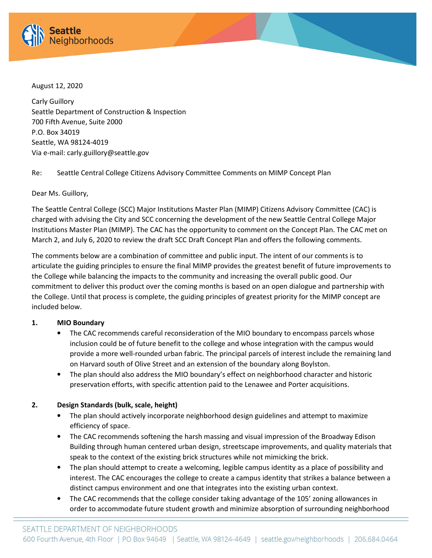

August 12, 2020

Carly Guillory Seattle Department of Construction & Inspection 700 Fifth Avenue, Suite 2000 P.O. Box 34019 Seattle, WA 98124-4019 Via e-mail: carly.guillory@seattle.gov

Re: Seattle Central College Citizens Advisory Committee Comments on MIMP Concept Plan

#### Dear Ms. Guillory,

The Seattle Central College (SCC) Major Institutions Master Plan (MIMP) Citizens Advisory Committee (CAC) is charged with advising the City and SCC concerning the development of the new Seattle Central College Major Institutions Master Plan (MIMP). The CAC has the opportunity to comment on the Concept Plan. The CAC met on March 2, and July 6, 2020 to review the draft SCC Draft Concept Plan and offers the following comments.

The comments below are a combination of committee and public input. The intent of our comments is to articulate the guiding principles to ensure the final MIMP provides the greatest benefit of future improvements to the College while balancing the impacts to the community and increasing the overall public good. Our commitment to deliver this product over the coming months is based on an open dialogue and partnership with the College. Until that process is complete, the guiding principles of greatest priority for the MIMP concept are included below.

#### 1. MIO Boundary

- The CAC recommends careful reconsideration of the MIO boundary to encompass parcels whose inclusion could be of future benefit to the college and whose integration with the campus would provide a more well-rounded urban fabric. The principal parcels of interest include the remaining land on Harvard south of Olive Street and an extension of the boundary along Boylston.
- The plan should also address the MIO boundary's effect on neighborhood character and historic preservation efforts, with specific attention paid to the Lenawee and Porter acquisitions.

# 2. Design Standards (bulk, scale, height)

- The plan should actively incorporate neighborhood design guidelines and attempt to maximize efficiency of space.
- The CAC recommends softening the harsh massing and visual impression of the Broadway Edison Building through human centered urban design, streetscape improvements, and quality materials that speak to the context of the existing brick structures while not mimicking the brick.
- The plan should attempt to create a welcoming, legible campus identity as a place of possibility and interest. The CAC encourages the college to create a campus identity that strikes a balance between a distinct campus environment and one that integrates into the existing urban context.
- The CAC recommends that the college consider taking advantage of the 105' zoning allowances in order to accommodate future student growth and minimize absorption of surrounding neighborhood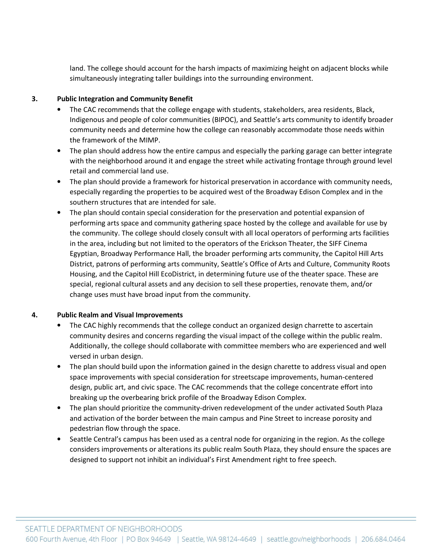land. The college should account for the harsh impacts of maximizing height on adjacent blocks while simultaneously integrating taller buildings into the surrounding environment.

### 3. Public Integration and Community Benefit

- The CAC recommends that the college engage with students, stakeholders, area residents, Black, Indigenous and people of color communities (BIPOC), and Seattle's arts community to identify broader community needs and determine how the college can reasonably accommodate those needs within the framework of the MIMP.
- The plan should address how the entire campus and especially the parking garage can better integrate with the neighborhood around it and engage the street while activating frontage through ground level retail and commercial land use.
- The plan should provide a framework for historical preservation in accordance with community needs, especially regarding the properties to be acquired west of the Broadway Edison Complex and in the southern structures that are intended for sale.
- The plan should contain special consideration for the preservation and potential expansion of performing arts space and community gathering space hosted by the college and available for use by the community. The college should closely consult with all local operators of performing arts facilities in the area, including but not limited to the operators of the Erickson Theater, the SIFF Cinema Egyptian, Broadway Performance Hall, the broader performing arts community, the Capitol Hill Arts District, patrons of performing arts community, Seattle's Office of Arts and Culture, Community Roots Housing, and the Capitol Hill EcoDistrict, in determining future use of the theater space. These are special, regional cultural assets and any decision to sell these properties, renovate them, and/or change uses must have broad input from the community.

#### 4. Public Realm and Visual Improvements

- The CAC highly recommends that the college conduct an organized design charrette to ascertain community desires and concerns regarding the visual impact of the college within the public realm. Additionally, the college should collaborate with committee members who are experienced and well versed in urban design.
- The plan should build upon the information gained in the design charette to address visual and open space improvements with special consideration for streetscape improvements, human-centered design, public art, and civic space. The CAC recommends that the college concentrate effort into breaking up the overbearing brick profile of the Broadway Edison Complex.
- The plan should prioritize the community-driven redevelopment of the under activated South Plaza and activation of the border between the main campus and Pine Street to increase porosity and pedestrian flow through the space.
- Seattle Central's campus has been used as a central node for organizing in the region. As the college considers improvements or alterations its public realm South Plaza, they should ensure the spaces are designed to support not inhibit an individual's First Amendment right to free speech.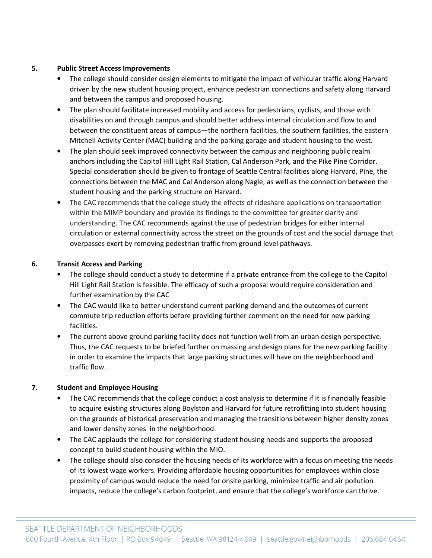### 5. Public Street Access Improvements

- The college should consider design elements to mitigate the impact of vehicular traffic along Harvard driven by the new student housing project, enhance pedestrian connections and safety along Harvard and between the campus and proposed housing.
- The plan should facilitate increased mobility and access for pedestrians, cyclists, and those with disabilities on and through campus and should better address internal circulation and flow to and between the constituent areas of campus—the northern facilities, the southern facilities, the eastern Mitchell Activity Center (MAC) building and the parking garage and student housing to the west.
- The plan should seek improved connectivity between the campus and neighboring public realm anchors including the Capitol Hill Light Rail Station, Cal Anderson Park, and the Pike Pine Corridor. Special consideration should be given to frontage of Seattle Central facilities along Harvard, Pine, the connections between the MAC and Cal Anderson along Nagle, as well as the connection between the student housing and the parking structure on Harvard.
- The CAC recommends that the college study the effects of rideshare applications on transportation within the MIMP boundary and provide its findings to the committee for greater clarity and understanding. The CAC recommends against the use of pedestrian bridges for either internal circulation or external connectivity across the street on the grounds of cost and the social damage that overpasses exert by removing pedestrian traffic from ground level pathways.

# 6. Transit Access and Parking

- The college should conduct a study to determine if a private entrance from the college to the Capitol Hill Light Rail Station is feasible. The efficacy of such a proposal would require consideration and further examination by the CAC
- The CAC would like to better understand current parking demand and the outcomes of current commute trip reduction efforts before providing further comment on the need for new parking facilities.
- The current above ground parking facility does not function well from an urban design perspective. Thus, the CAC requests to be briefed further on massing and design plans for the new parking facility in order to examine the impacts that large parking structures will have on the neighborhood and traffic flow.

# 7. Student and Employee Housing

- The CAC recommends that the college conduct a cost analysis to determine if it is financially feasible to acquire existing structures along Boylston and Harvard for future retrofitting into student housing on the grounds of historical preservation and managing the transitions between higher density zones and lower density zones in the neighborhood.
- The CAC applauds the college for considering student housing needs and supports the proposed concept to build student housing within the MIO.
- The college should also consider the housing needs of its workforce with a focus on meeting the needs of its lowest wage workers. Providing affordable housing opportunities for employees within close proximity of campus would reduce the need for onsite parking, minimize traffic and air pollution impacts, reduce the college's carbon footprint, and ensure that the college's workforce can thrive.